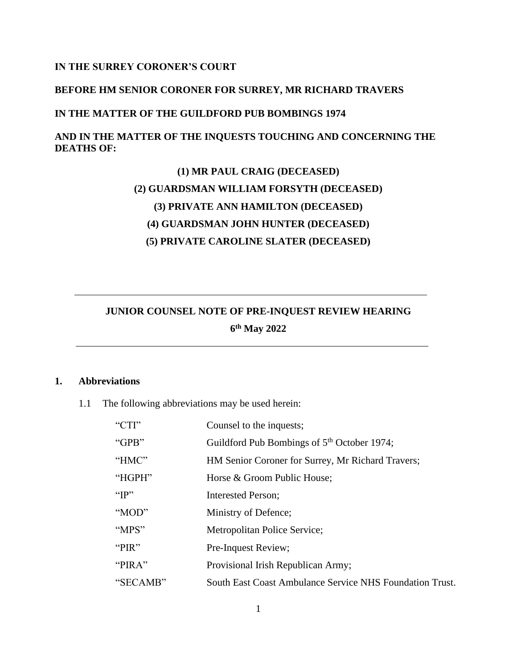## **IN THE SURREY CORONER'S COURT**

## **BEFORE HM SENIOR CORONER FOR SURREY, MR RICHARD TRAVERS**

## **IN THE MATTER OF THE GUILDFORD PUB BOMBINGS 1974**

## **AND IN THE MATTER OF THE INQUESTS TOUCHING AND CONCERNING THE DEATHS OF:**

# **(1) MR PAUL CRAIG (DECEASED) (2) GUARDSMAN WILLIAM FORSYTH (DECEASED) (3) PRIVATE ANN HAMILTON (DECEASED) (4) GUARDSMAN JOHN HUNTER (DECEASED) (5) PRIVATE CAROLINE SLATER (DECEASED)**

## **JUNIOR COUNSEL NOTE OF PRE-INQUEST REVIEW HEARING 6 th May 2022**

#### **1. Abbreviations**

1.1 The following abbreviations may be used herein:

| " $CTI$ " | Counsel to the inquests;                                 |
|-----------|----------------------------------------------------------|
| "GPB"     | Guildford Pub Bombings of 5 <sup>th</sup> October 1974;  |
| "HMC"     | HM Senior Coroner for Surrey, Mr Richard Travers;        |
| "HGPH"    | Horse & Groom Public House;                              |
| " $IP"$   | <b>Interested Person;</b>                                |
| "MOD"     | Ministry of Defence;                                     |
| "MPS"     | <b>Metropolitan Police Service;</b>                      |
| "PIR"     | Pre-Inquest Review;                                      |
| "PIRA"    | Provisional Irish Republican Army;                       |
| "SECAMB"  | South East Coast Ambulance Service NHS Foundation Trust. |
|           |                                                          |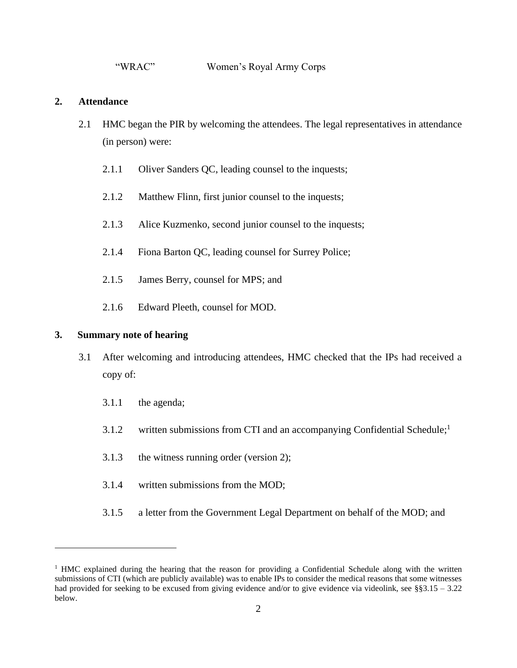#### **2. Attendance**

- 2.1 HMC began the PIR by welcoming the attendees. The legal representatives in attendance (in person) were:
	- 2.1.1 Oliver Sanders QC, leading counsel to the inquests;
	- 2.1.2 Matthew Flinn, first junior counsel to the inquests;
	- 2.1.3 Alice Kuzmenko, second junior counsel to the inquests;
	- 2.1.4 Fiona Barton QC, leading counsel for Surrey Police;
	- 2.1.5 James Berry, counsel for MPS; and
	- 2.1.6 Edward Pleeth, counsel for MOD.

## **3. Summary note of hearing**

- 3.1 After welcoming and introducing attendees, HMC checked that the IPs had received a copy of:
	- 3.1.1 the agenda;
	- 3.1.2 written submissions from CTI and an accompanying Confidential Schedule;<sup>1</sup>
	- 3.1.3 the witness running order (version 2);
	- 3.1.4 written submissions from the MOD;
	- 3.1.5 a letter from the Government Legal Department on behalf of the MOD; and

 $1$  HMC explained during the hearing that the reason for providing a Confidential Schedule along with the written submissions of CTI (which are publicly available) was to enable IPs to consider the medical reasons that some witnesses had provided for seeking to be excused from giving evidence and/or to give evidence via videolink, see §§3.15 – 3.22 below.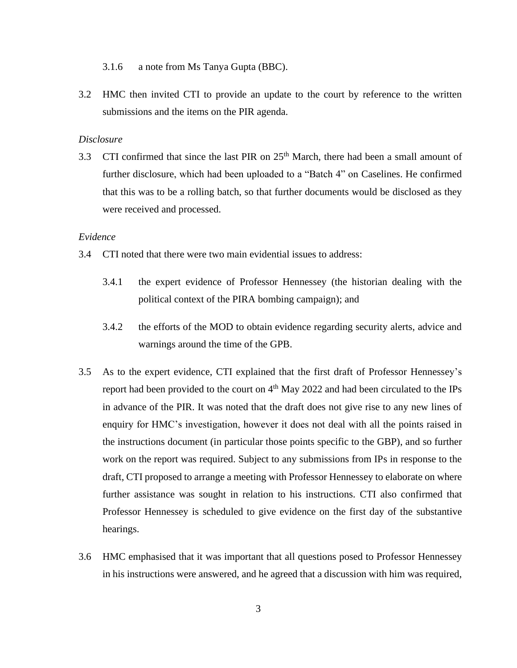- 3.1.6 a note from Ms Tanya Gupta (BBC).
- 3.2 HMC then invited CTI to provide an update to the court by reference to the written submissions and the items on the PIR agenda.

#### *Disclosure*

3.3 CTI confirmed that since the last PIR on  $25<sup>th</sup>$  March, there had been a small amount of further disclosure, which had been uploaded to a "Batch 4" on Caselines. He confirmed that this was to be a rolling batch, so that further documents would be disclosed as they were received and processed.

## *Evidence*

- 3.4 CTI noted that there were two main evidential issues to address:
	- 3.4.1 the expert evidence of Professor Hennessey (the historian dealing with the political context of the PIRA bombing campaign); and
	- 3.4.2 the efforts of the MOD to obtain evidence regarding security alerts, advice and warnings around the time of the GPB.
- 3.5 As to the expert evidence, CTI explained that the first draft of Professor Hennessey's report had been provided to the court on 4<sup>th</sup> May 2022 and had been circulated to the IPs in advance of the PIR. It was noted that the draft does not give rise to any new lines of enquiry for HMC's investigation, however it does not deal with all the points raised in the instructions document (in particular those points specific to the GBP), and so further work on the report was required. Subject to any submissions from IPs in response to the draft, CTI proposed to arrange a meeting with Professor Hennessey to elaborate on where further assistance was sought in relation to his instructions. CTI also confirmed that Professor Hennessey is scheduled to give evidence on the first day of the substantive hearings.
- 3.6 HMC emphasised that it was important that all questions posed to Professor Hennessey in his instructions were answered, and he agreed that a discussion with him was required,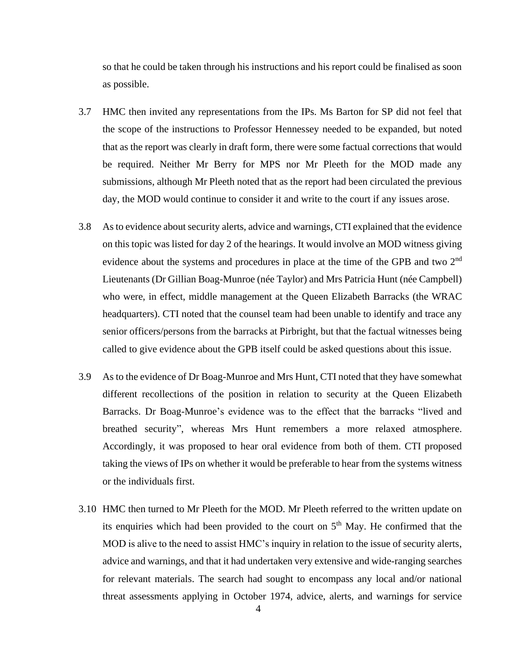so that he could be taken through his instructions and his report could be finalised as soon as possible.

- 3.7 HMC then invited any representations from the IPs. Ms Barton for SP did not feel that the scope of the instructions to Professor Hennessey needed to be expanded, but noted that as the report was clearly in draft form, there were some factual corrections that would be required. Neither Mr Berry for MPS nor Mr Pleeth for the MOD made any submissions, although Mr Pleeth noted that as the report had been circulated the previous day, the MOD would continue to consider it and write to the court if any issues arose.
- 3.8 As to evidence about security alerts, advice and warnings, CTI explained that the evidence on this topic was listed for day 2 of the hearings. It would involve an MOD witness giving evidence about the systems and procedures in place at the time of the GPB and two 2<sup>nd</sup> Lieutenants (Dr Gillian Boag-Munroe (née Taylor) and Mrs Patricia Hunt (née Campbell) who were, in effect, middle management at the Queen Elizabeth Barracks (the WRAC headquarters). CTI noted that the counsel team had been unable to identify and trace any senior officers/persons from the barracks at Pirbright, but that the factual witnesses being called to give evidence about the GPB itself could be asked questions about this issue.
- 3.9 As to the evidence of Dr Boag-Munroe and Mrs Hunt, CTI noted that they have somewhat different recollections of the position in relation to security at the Queen Elizabeth Barracks. Dr Boag-Munroe's evidence was to the effect that the barracks "lived and breathed security", whereas Mrs Hunt remembers a more relaxed atmosphere. Accordingly, it was proposed to hear oral evidence from both of them. CTI proposed taking the views of IPs on whether it would be preferable to hear from the systems witness or the individuals first.
- 3.10 HMC then turned to Mr Pleeth for the MOD. Mr Pleeth referred to the written update on its enquiries which had been provided to the court on  $5<sup>th</sup>$  May. He confirmed that the MOD is alive to the need to assist HMC's inquiry in relation to the issue of security alerts, advice and warnings, and that it had undertaken very extensive and wide-ranging searches for relevant materials. The search had sought to encompass any local and/or national threat assessments applying in October 1974, advice, alerts, and warnings for service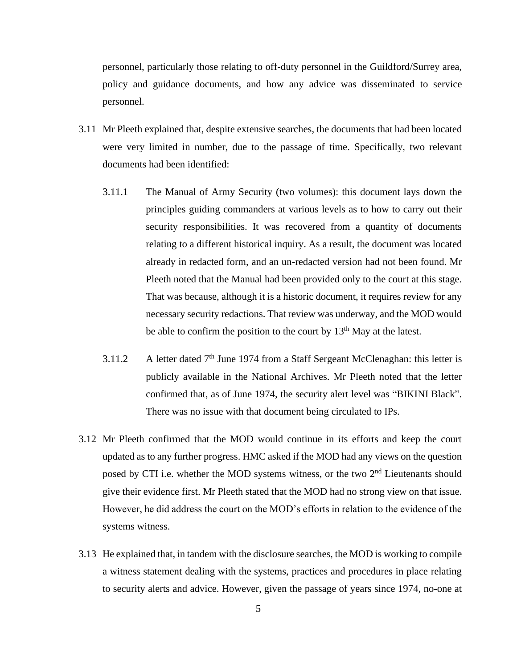personnel, particularly those relating to off-duty personnel in the Guildford/Surrey area, policy and guidance documents, and how any advice was disseminated to service personnel.

- 3.11 Mr Pleeth explained that, despite extensive searches, the documents that had been located were very limited in number, due to the passage of time. Specifically, two relevant documents had been identified:
	- 3.11.1 The Manual of Army Security (two volumes): this document lays down the principles guiding commanders at various levels as to how to carry out their security responsibilities. It was recovered from a quantity of documents relating to a different historical inquiry. As a result, the document was located already in redacted form, and an un-redacted version had not been found. Mr Pleeth noted that the Manual had been provided only to the court at this stage. That was because, although it is a historic document, it requires review for any necessary security redactions. That review was underway, and the MOD would be able to confirm the position to the court by  $13<sup>th</sup>$  May at the latest.
	- 3.11.2 A letter dated  $7<sup>th</sup>$  June 1974 from a Staff Sergeant McClenaghan: this letter is publicly available in the National Archives. Mr Pleeth noted that the letter confirmed that, as of June 1974, the security alert level was "BIKINI Black". There was no issue with that document being circulated to IPs.
- 3.12 Mr Pleeth confirmed that the MOD would continue in its efforts and keep the court updated as to any further progress. HMC asked if the MOD had any views on the question posed by CTI i.e. whether the MOD systems witness, or the two  $2<sup>nd</sup>$  Lieutenants should give their evidence first. Mr Pleeth stated that the MOD had no strong view on that issue. However, he did address the court on the MOD's efforts in relation to the evidence of the systems witness.
- 3.13 He explained that, in tandem with the disclosure searches, the MOD is working to compile a witness statement dealing with the systems, practices and procedures in place relating to security alerts and advice. However, given the passage of years since 1974, no-one at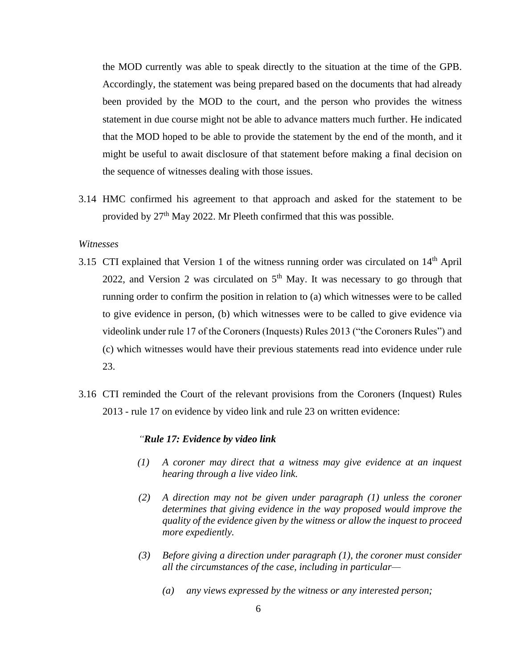the MOD currently was able to speak directly to the situation at the time of the GPB. Accordingly, the statement was being prepared based on the documents that had already been provided by the MOD to the court, and the person who provides the witness statement in due course might not be able to advance matters much further. He indicated that the MOD hoped to be able to provide the statement by the end of the month, and it might be useful to await disclosure of that statement before making a final decision on the sequence of witnesses dealing with those issues.

3.14 HMC confirmed his agreement to that approach and asked for the statement to be provided by 27<sup>th</sup> May 2022. Mr Pleeth confirmed that this was possible.

#### *Witnesses*

- 3.15 CTI explained that Version 1 of the witness running order was circulated on  $14<sup>th</sup>$  April 2022, and Version 2 was circulated on  $5<sup>th</sup>$  May. It was necessary to go through that running order to confirm the position in relation to (a) which witnesses were to be called to give evidence in person, (b) which witnesses were to be called to give evidence via videolink under rule 17 of the Coroners (Inquests) Rules 2013 ("the Coroners Rules") and (c) which witnesses would have their previous statements read into evidence under rule 23.
- 3.16 CTI reminded the Court of the relevant provisions from the Coroners (Inquest) Rules 2013 - rule 17 on evidence by video link and rule 23 on written evidence:

#### *"Rule 17: Evidence by video link*

- *(1) A coroner may direct that a witness may give evidence at an inquest hearing through a live video link.*
- *(2) A direction may not be given under paragraph (1) unless the coroner determines that giving evidence in the way proposed would improve the quality of the evidence given by the witness or allow the inquest to proceed more expediently.*
- *(3) Before giving a direction under paragraph (1), the coroner must consider all the circumstances of the case, including in particular—*
	- *(a) any views expressed by the witness or any interested person;*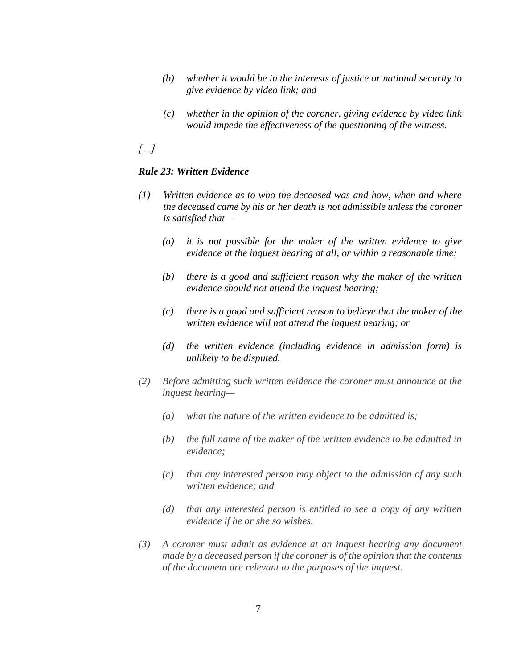- *(b) whether it would be in the interests of justice or national security to give evidence by video link; and*
- *(c) whether in the opinion of the coroner, giving evidence by video link would impede the effectiveness of the questioning of the witness.*

*[…]*

### *Rule 23: Written Evidence*

- *(1) Written evidence as to who the deceased was and how, when and where the deceased came by his or her death is not admissible unless the coroner is satisfied that—*
	- *(a) it is not possible for the maker of the written evidence to give evidence at the inquest hearing at all, or within a reasonable time;*
	- *(b) there is a good and sufficient reason why the maker of the written evidence should not attend the inquest hearing;*
	- *(c) there is a good and sufficient reason to believe that the maker of the written evidence will not attend the inquest hearing; or*
	- *(d) the written evidence (including evidence in admission form) is unlikely to be disputed.*
- *(2) Before admitting such written evidence the coroner must announce at the inquest hearing—*
	- *(a) what the nature of the written evidence to be admitted is;*
	- *(b) the full name of the maker of the written evidence to be admitted in evidence;*
	- *(c) that any interested person may object to the admission of any such written evidence; and*
	- *(d) that any interested person is entitled to see a copy of any written evidence if he or she so wishes.*
- *(3) A coroner must admit as evidence at an inquest hearing any document made by a deceased person if the coroner is of the opinion that the contents of the document are relevant to the purposes of the inquest.*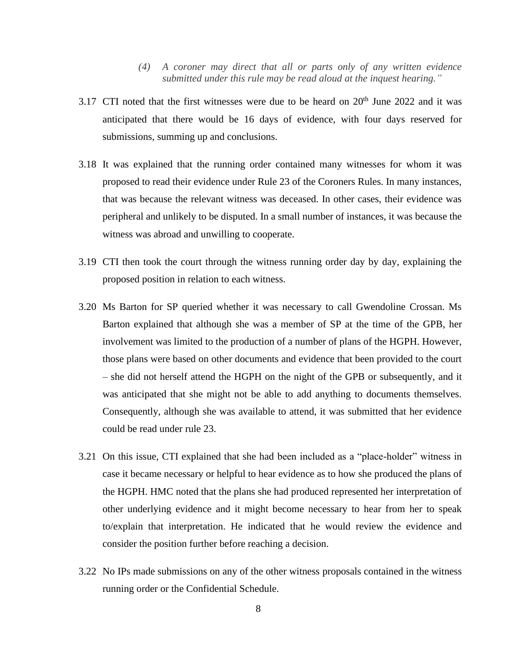- *(4) A coroner may direct that all or parts only of any written evidence submitted under this rule may be read aloud at the inquest hearing."*
- 3.17 CTI noted that the first witnesses were due to be heard on  $20<sup>th</sup>$  June 2022 and it was anticipated that there would be 16 days of evidence, with four days reserved for submissions, summing up and conclusions.
- 3.18 It was explained that the running order contained many witnesses for whom it was proposed to read their evidence under Rule 23 of the Coroners Rules. In many instances, that was because the relevant witness was deceased. In other cases, their evidence was peripheral and unlikely to be disputed. In a small number of instances, it was because the witness was abroad and unwilling to cooperate.
- 3.19 CTI then took the court through the witness running order day by day, explaining the proposed position in relation to each witness.
- 3.20 Ms Barton for SP queried whether it was necessary to call Gwendoline Crossan. Ms Barton explained that although she was a member of SP at the time of the GPB, her involvement was limited to the production of a number of plans of the HGPH. However, those plans were based on other documents and evidence that been provided to the court – she did not herself attend the HGPH on the night of the GPB or subsequently, and it was anticipated that she might not be able to add anything to documents themselves. Consequently, although she was available to attend, it was submitted that her evidence could be read under rule 23.
- 3.21 On this issue, CTI explained that she had been included as a "place-holder" witness in case it became necessary or helpful to hear evidence as to how she produced the plans of the HGPH. HMC noted that the plans she had produced represented her interpretation of other underlying evidence and it might become necessary to hear from her to speak to/explain that interpretation. He indicated that he would review the evidence and consider the position further before reaching a decision.
- 3.22 No IPs made submissions on any of the other witness proposals contained in the witness running order or the Confidential Schedule.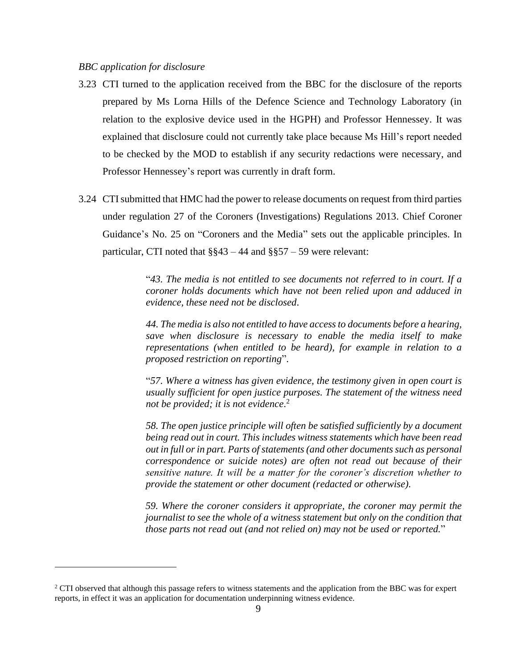#### *BBC application for disclosure*

- 3.23 CTI turned to the application received from the BBC for the disclosure of the reports prepared by Ms Lorna Hills of the Defence Science and Technology Laboratory (in relation to the explosive device used in the HGPH) and Professor Hennessey. It was explained that disclosure could not currently take place because Ms Hill's report needed to be checked by the MOD to establish if any security redactions were necessary, and Professor Hennessey's report was currently in draft form.
- 3.24 CTI submitted that HMC had the power to release documents on request from third parties under regulation 27 of the Coroners (Investigations) Regulations 2013. Chief Coroner Guidance's No. 25 on "Coroners and the Media" sets out the applicable principles. In particular, CTI noted that  $\S$ §43 – 44 and §§57 – 59 were relevant:

"*43. The media is not entitled to see documents not referred to in court. If a coroner holds documents which have not been relied upon and adduced in evidence, these need not be disclosed*.

*44. The media is also not entitled to have access to documents before a hearing, save when disclosure is necessary to enable the media itself to make representations (when entitled to be heard), for example in relation to a proposed restriction on reporting*".

"*57. Where a witness has given evidence, the testimony given in open court is usually sufficient for open justice purposes. The statement of the witness need not be provided; it is not evidence.*<sup>2</sup>

*58. The open justice principle will often be satisfied sufficiently by a document being read out in court. This includes witness statements which have been read out in full or in part. Parts of statements (and other documents such as personal correspondence or suicide notes) are often not read out because of their sensitive nature. It will be a matter for the coroner's discretion whether to provide the statement or other document (redacted or otherwise).*

*59. Where the coroner considers it appropriate, the coroner may permit the journalist to see the whole of a witness statement but only on the condition that those parts not read out (and not relied on) may not be used or reported.*"

<sup>&</sup>lt;sup>2</sup> CTI observed that although this passage refers to witness statements and the application from the BBC was for expert reports, in effect it was an application for documentation underpinning witness evidence.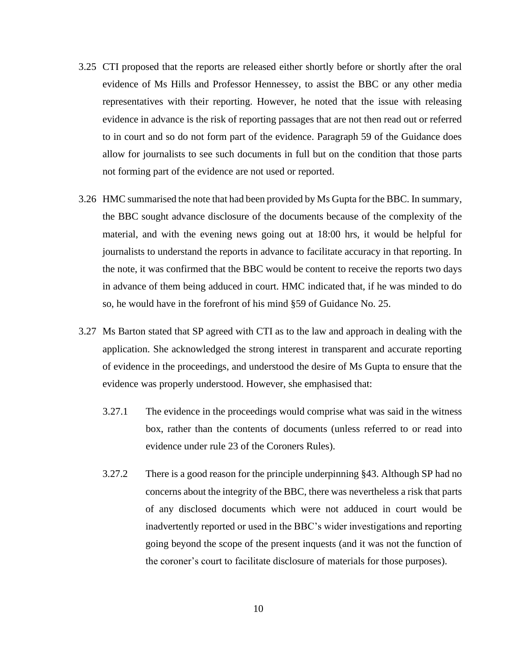- 3.25 CTI proposed that the reports are released either shortly before or shortly after the oral evidence of Ms Hills and Professor Hennessey, to assist the BBC or any other media representatives with their reporting. However, he noted that the issue with releasing evidence in advance is the risk of reporting passages that are not then read out or referred to in court and so do not form part of the evidence. Paragraph 59 of the Guidance does allow for journalists to see such documents in full but on the condition that those parts not forming part of the evidence are not used or reported.
- 3.26 HMC summarised the note that had been provided by Ms Gupta for the BBC. In summary, the BBC sought advance disclosure of the documents because of the complexity of the material, and with the evening news going out at 18:00 hrs, it would be helpful for journalists to understand the reports in advance to facilitate accuracy in that reporting. In the note, it was confirmed that the BBC would be content to receive the reports two days in advance of them being adduced in court. HMC indicated that, if he was minded to do so, he would have in the forefront of his mind §59 of Guidance No. 25.
- 3.27 Ms Barton stated that SP agreed with CTI as to the law and approach in dealing with the application. She acknowledged the strong interest in transparent and accurate reporting of evidence in the proceedings, and understood the desire of Ms Gupta to ensure that the evidence was properly understood. However, she emphasised that:
	- 3.27.1 The evidence in the proceedings would comprise what was said in the witness box, rather than the contents of documents (unless referred to or read into evidence under rule 23 of the Coroners Rules).
	- 3.27.2 There is a good reason for the principle underpinning §43. Although SP had no concerns about the integrity of the BBC, there was nevertheless a risk that parts of any disclosed documents which were not adduced in court would be inadvertently reported or used in the BBC's wider investigations and reporting going beyond the scope of the present inquests (and it was not the function of the coroner's court to facilitate disclosure of materials for those purposes).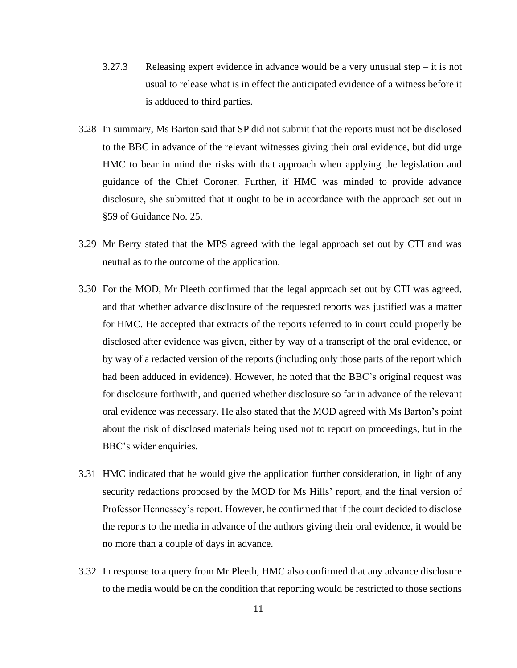- 3.27.3 Releasing expert evidence in advance would be a very unusual step it is not usual to release what is in effect the anticipated evidence of a witness before it is adduced to third parties.
- 3.28 In summary, Ms Barton said that SP did not submit that the reports must not be disclosed to the BBC in advance of the relevant witnesses giving their oral evidence, but did urge HMC to bear in mind the risks with that approach when applying the legislation and guidance of the Chief Coroner. Further, if HMC was minded to provide advance disclosure, she submitted that it ought to be in accordance with the approach set out in §59 of Guidance No. 25.
- 3.29 Mr Berry stated that the MPS agreed with the legal approach set out by CTI and was neutral as to the outcome of the application.
- 3.30 For the MOD, Mr Pleeth confirmed that the legal approach set out by CTI was agreed, and that whether advance disclosure of the requested reports was justified was a matter for HMC. He accepted that extracts of the reports referred to in court could properly be disclosed after evidence was given, either by way of a transcript of the oral evidence, or by way of a redacted version of the reports (including only those parts of the report which had been adduced in evidence). However, he noted that the BBC's original request was for disclosure forthwith, and queried whether disclosure so far in advance of the relevant oral evidence was necessary. He also stated that the MOD agreed with Ms Barton's point about the risk of disclosed materials being used not to report on proceedings, but in the BBC's wider enquiries.
- 3.31 HMC indicated that he would give the application further consideration, in light of any security redactions proposed by the MOD for Ms Hills' report, and the final version of Professor Hennessey's report. However, he confirmed that if the court decided to disclose the reports to the media in advance of the authors giving their oral evidence, it would be no more than a couple of days in advance.
- 3.32 In response to a query from Mr Pleeth, HMC also confirmed that any advance disclosure to the media would be on the condition that reporting would be restricted to those sections